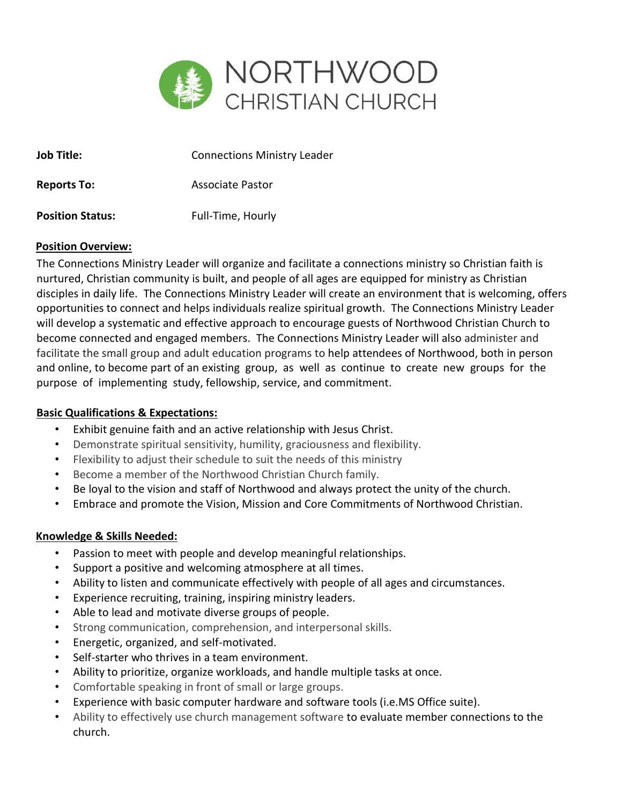

| <b>Job Title:</b>       | <b>Connections Ministry Leader</b> |
|-------------------------|------------------------------------|
| <b>Reports To:</b>      | Associate Pastor                   |
| <b>Position Status:</b> | Full-Time, Hourly                  |

#### **Position Overview:**

The Connections Ministry Leader will organize and facilitate a connections ministry so Christian faith is nurtured, Christian community is built, and people of all ages are equipped for ministry as Christian disciples in daily life. The Connections Ministry Leader will create an environment that is welcoming, offers opportunities to connect and helps individuals realize spiritual growth. The Connections Ministry Leader will develop a systematic and effective approach to encourage guests of Northwood Christian Church to become connected and engaged members. The Connections Ministry Leader will also administer and facilitate the small group and adult education programs to help attendees of Northwood, both in person and online, to become part of an existing group, as well as continue to create new groups for the purpose of implementing study, fellowship, service, and commitment.

# **Basic Qualifications & Expectations:**

- Exhibit genuine faith and an active relationship with Jesus Christ.
- Demonstrate spiritual sensitivity, humility, graciousness and flexibility.
- Flexibility to adjust their schedule to suit the needs of this ministry
- Become a member of the Northwood Christian Church family.
- Be loyal to the vision and staff of Northwood and always protect the unity of the church.
- Embrace and promote the Vision, Mission and Core Commitments of Northwood Christian.

# **Knowledge & Skills Needed:**

- Passion to meet with people and develop meaningful relationships.
- Support a positive and welcoming atmosphere at all times.
- Ability to listen and communicate effectively with people of all ages and circumstances.
- Experience recruiting, training, inspiring ministry leaders.
- Able to lead and motivate diverse groups of people.
- Strong communication, comprehension, and interpersonal skills.
- Energetic, organized, and self-motivated.
- Self-starter who thrives in a team environment.
- Ability to prioritize, organize workloads, and handle multiple tasks at once.
- Comfortable speaking in front of small or large groups.
- Experience with basic computer hardware and software tools (i.e.MS Office suite).
- Ability to effectively use church management software to evaluate member connections to the church.